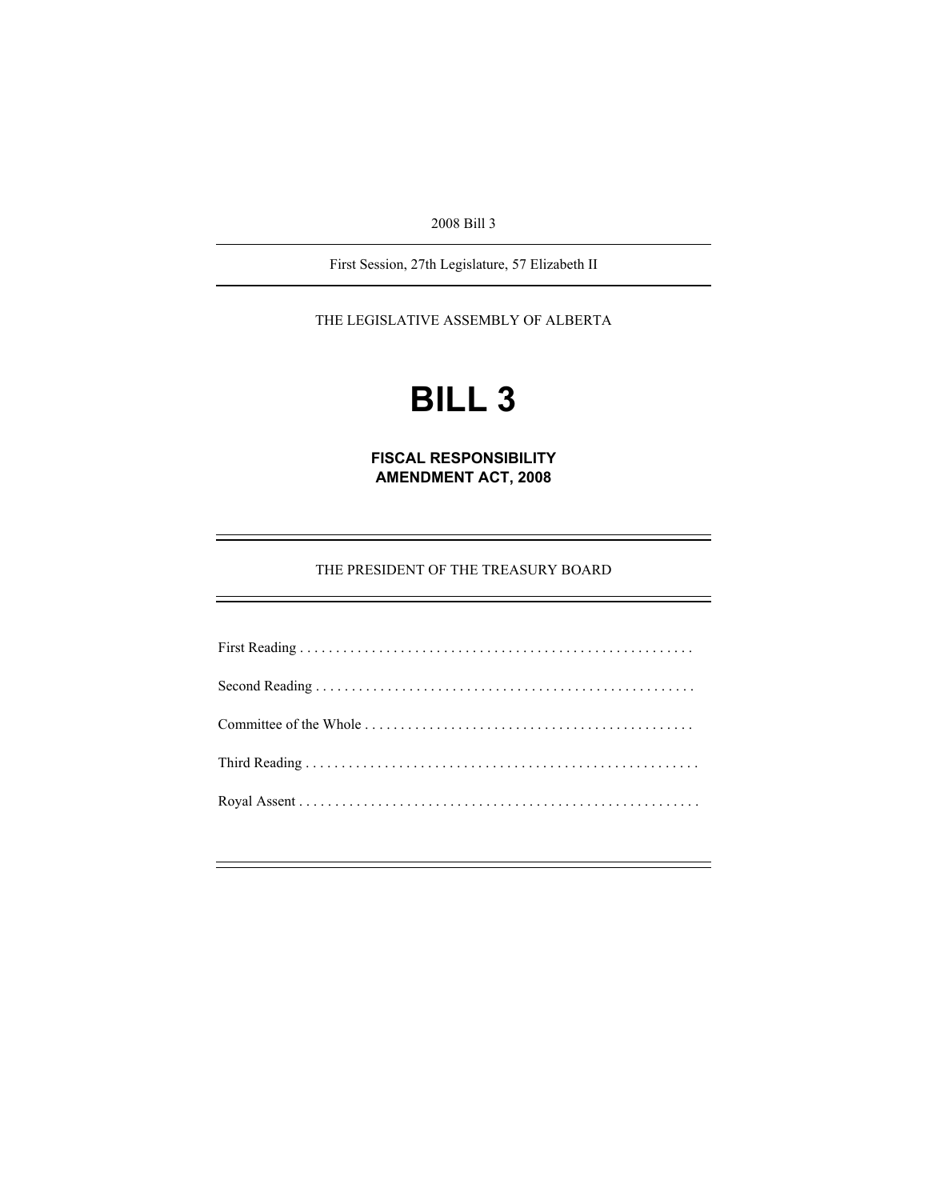2008 Bill 3

First Session, 27th Legislature, 57 Elizabeth II

THE LEGISLATIVE ASSEMBLY OF ALBERTA

# **BILL 3**

**FISCAL RESPONSIBILITY AMENDMENT ACT, 2008** 

THE PRESIDENT OF THE TREASURY BOARD

First Reading . . . . . . . . . . . . . . . . . . . . . . . . . . . . . . . . . . . . . . . . . . . . . . . . . . . . . . . Second Reading . . . . . . . . . . . . . . . . . . . . . . . . . . . . . . . . . . . . . . . . . . . . . . . . . . . . . Committee of the Whole . . . . . . . . . . . . . . . . . . . . . . . . . . . . . . . . . . . . . . . . . . . . . . Third Reading . . . . . . . . . . . . . . . . . . . . . . . . . . . . . . . . . . . . . . . . . . . . . . . . . . . . . . . Royal Assent . . . . . . . . . . . . . . . . . . . . . . . . . . . . . . . . . . . . . . . . . . . . . . . . . . . . . . . .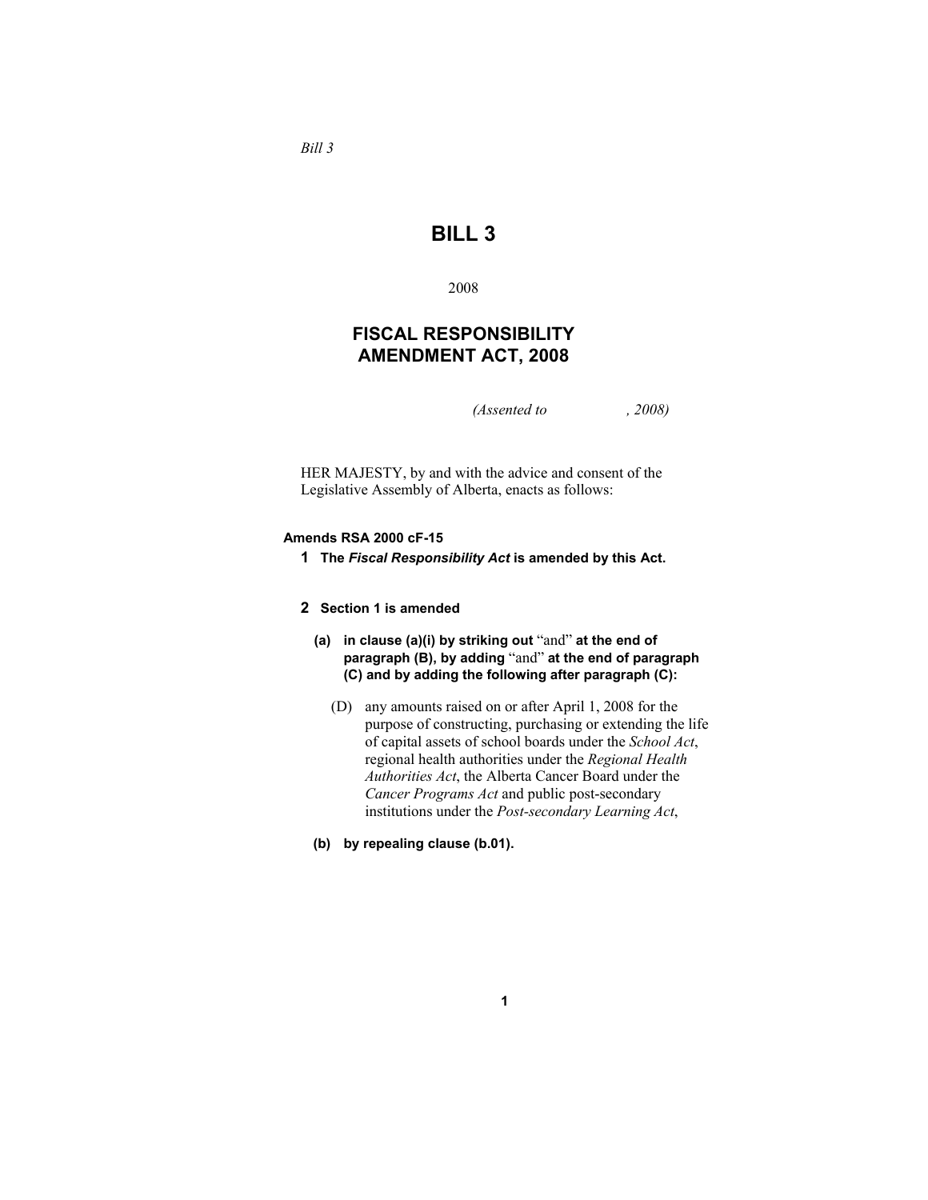## **BILL 3**

2008

### **FISCAL RESPONSIBILITY AMENDMENT ACT, 2008**

*(Assented to , 2008)* 

HER MAJESTY, by and with the advice and consent of the Legislative Assembly of Alberta, enacts as follows:

#### **Amends RSA 2000 cF-15**

**1 The** *Fiscal Responsibility Act* **is amended by this Act.**

#### **2 Section 1 is amended**

- **(a) in clause (a)(i) by striking out** "and" **at the end of paragraph (B), by adding** "and" **at the end of paragraph (C) and by adding the following after paragraph (C):**
	- (D) any amounts raised on or after April 1, 2008 for the purpose of constructing, purchasing or extending the life of capital assets of school boards under the *School Act*, regional health authorities under the *Regional Health Authorities Act*, the Alberta Cancer Board under the *Cancer Programs Act* and public post-secondary institutions under the *Post-secondary Learning Act*,

**1**

**(b) by repealing clause (b.01).** 

*Bill 3*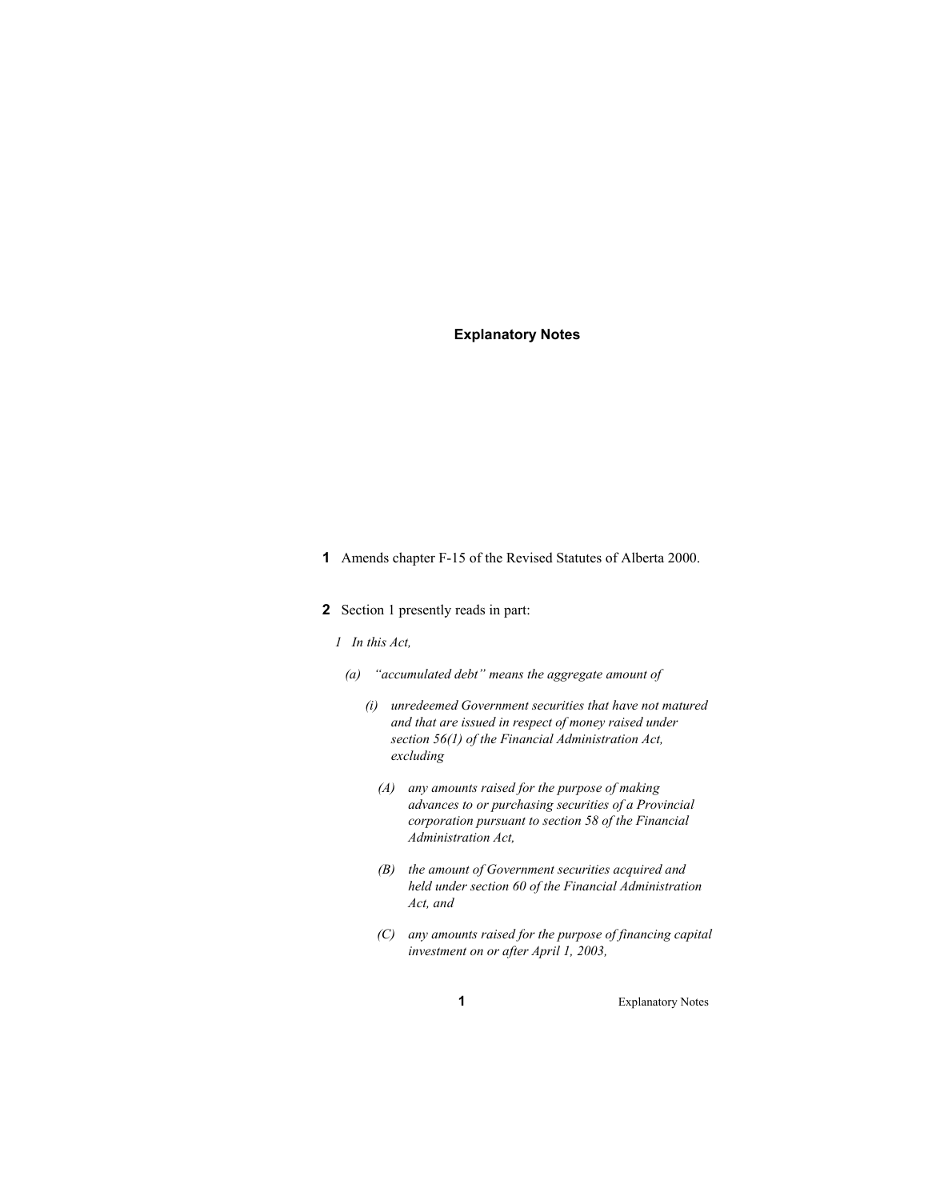#### **Explanatory Notes**

- **1** Amends chapter F-15 of the Revised Statutes of Alberta 2000.
- **2** Section 1 presently reads in part:
	- *1 In this Act,*
	- *(a) "accumulated debt" means the aggregate amount of* 
		- *(i) unredeemed Government securities that have not matured and that are issued in respect of money raised under section 56(1) of the Financial Administration Act, excluding* 
			- *(A) any amounts raised for the purpose of making advances to or purchasing securities of a Provincial corporation pursuant to section 58 of the Financial Administration Act,*
			- *(B) the amount of Government securities acquired and held under section 60 of the Financial Administration Act, and*
			- *(C) any amounts raised for the purpose of financing capital investment on or after April 1, 2003,*

**1** Explanatory Notes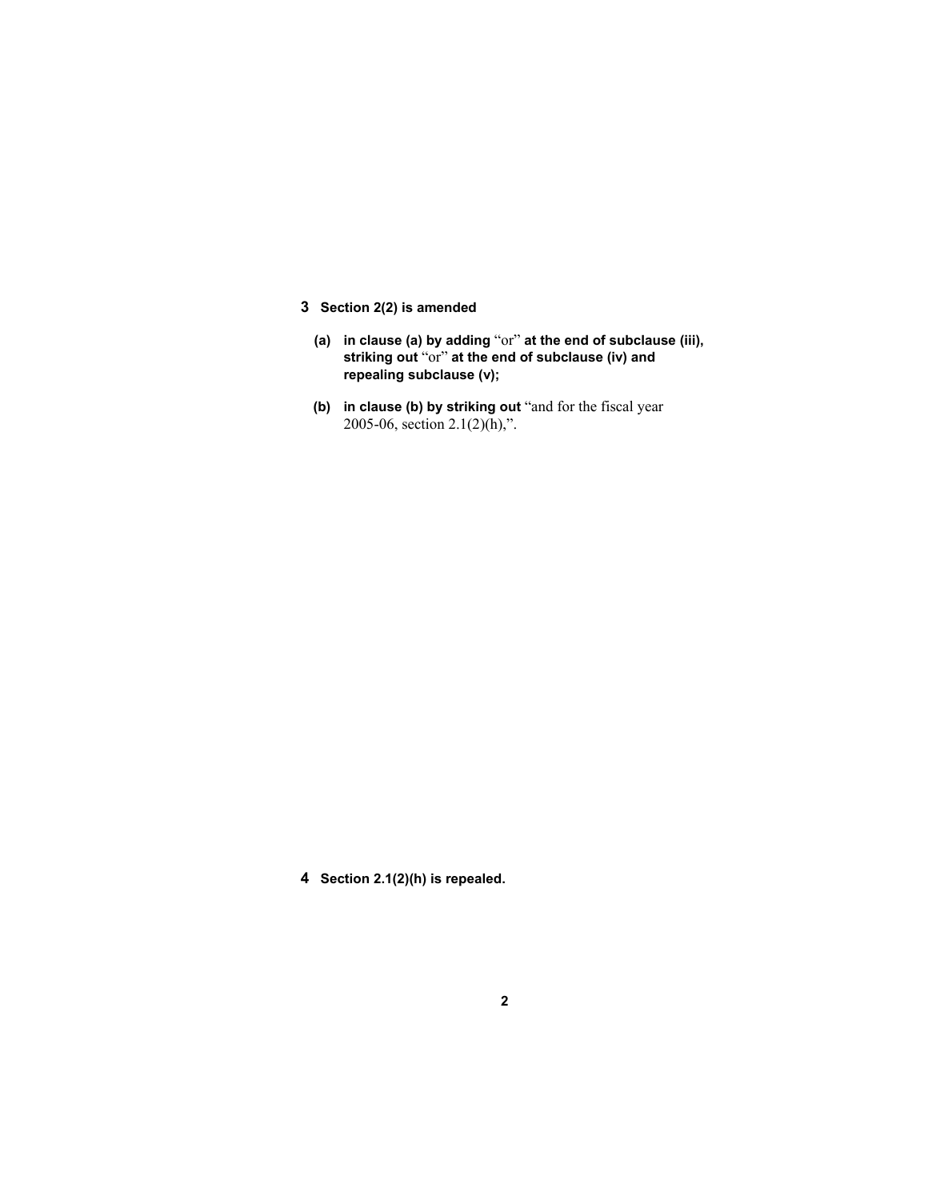- **3 Section 2(2) is amended**
	- **(a) in clause (a) by adding** "or" **at the end of subclause (iii), striking out** "or" **at the end of subclause (iv) and repealing subclause (v);**
	- **(b) in clause (b) by striking out** "and for the fiscal year 2005-06, section  $2.1(2)(h)$ ,".

**4 Section 2.1(2)(h) is repealed.**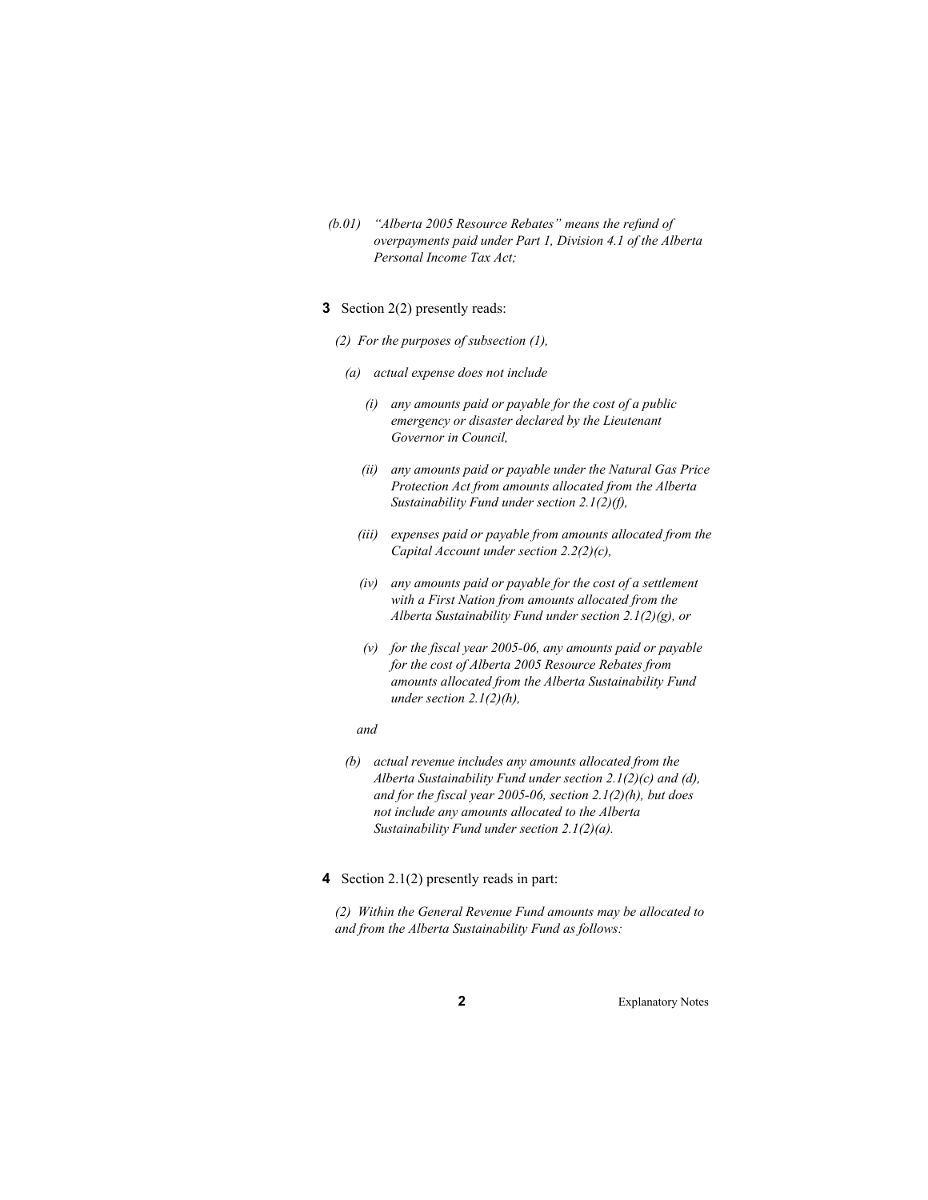- *(b.01) "Alberta 2005 Resource Rebates" means the refund of overpayments paid under Part 1, Division 4.1 of the Alberta Personal Income Tax Act;*
- **3** Section 2(2) presently reads:
	- *(2) For the purposes of subsection (1),* 
		- *(a) actual expense does not include* 
			- *(i) any amounts paid or payable for the cost of a public emergency or disaster declared by the Lieutenant Governor in Council,*
			- *(ii) any amounts paid or payable under the Natural Gas Price Protection Act from amounts allocated from the Alberta Sustainability Fund under section 2.1(2)(f),*
			- *(iii) expenses paid or payable from amounts allocated from the Capital Account under section 2.2(2)(c),*
			- *(iv) any amounts paid or payable for the cost of a settlement with a First Nation from amounts allocated from the Alberta Sustainability Fund under section 2.1(2)(g), or*
			- *(v) for the fiscal year 2005-06, any amounts paid or payable for the cost of Alberta 2005 Resource Rebates from amounts allocated from the Alberta Sustainability Fund under section 2.1(2)(h),*
			- *and*
		- *(b) actual revenue includes any amounts allocated from the Alberta Sustainability Fund under section 2.1(2)(c) and (d), and for the fiscal year 2005-06, section 2.1(2)(h), but does not include any amounts allocated to the Alberta Sustainability Fund under section 2.1(2)(a).*
- **4** Section 2.1(2) presently reads in part:

*(2) Within the General Revenue Fund amounts may be allocated to and from the Alberta Sustainability Fund as follows:*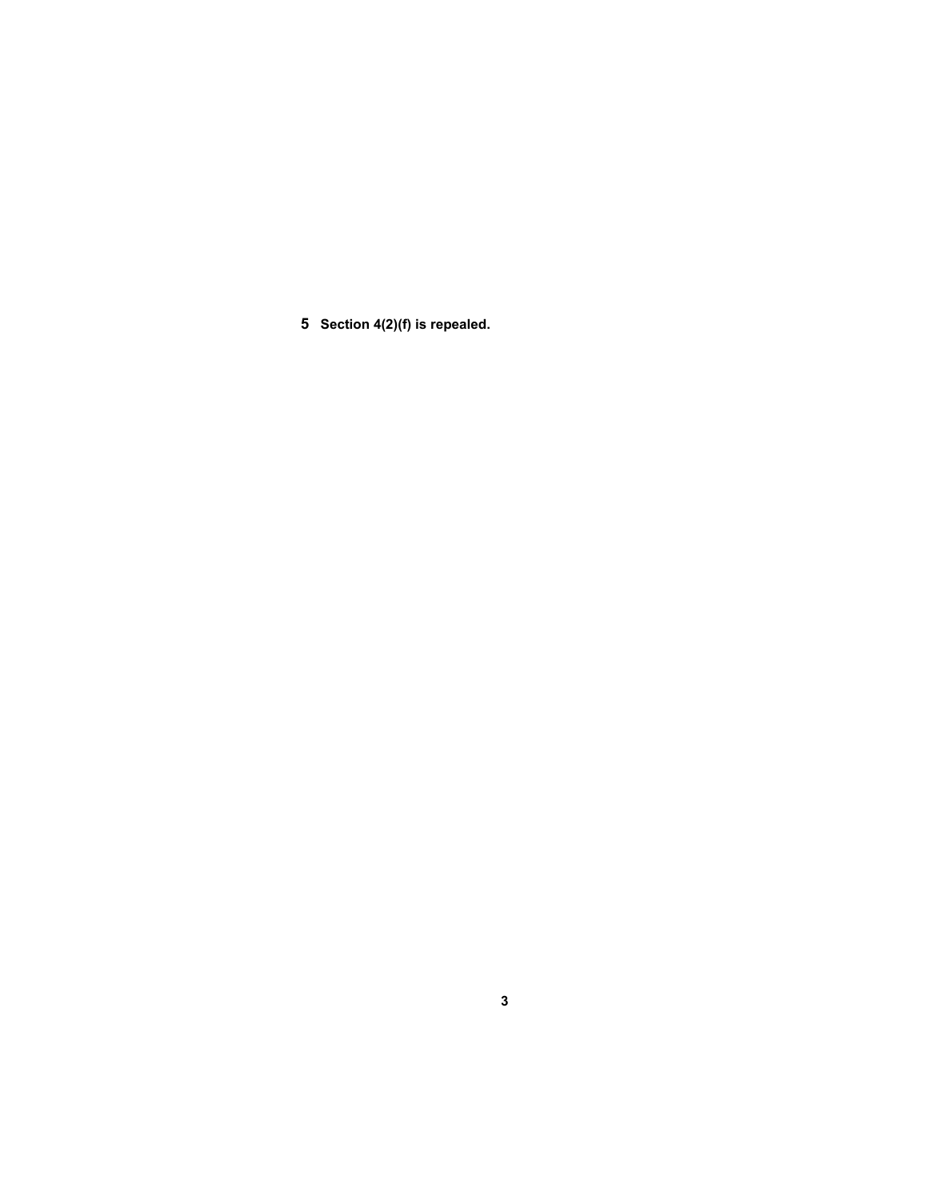**5 Section 4(2)(f) is repealed.**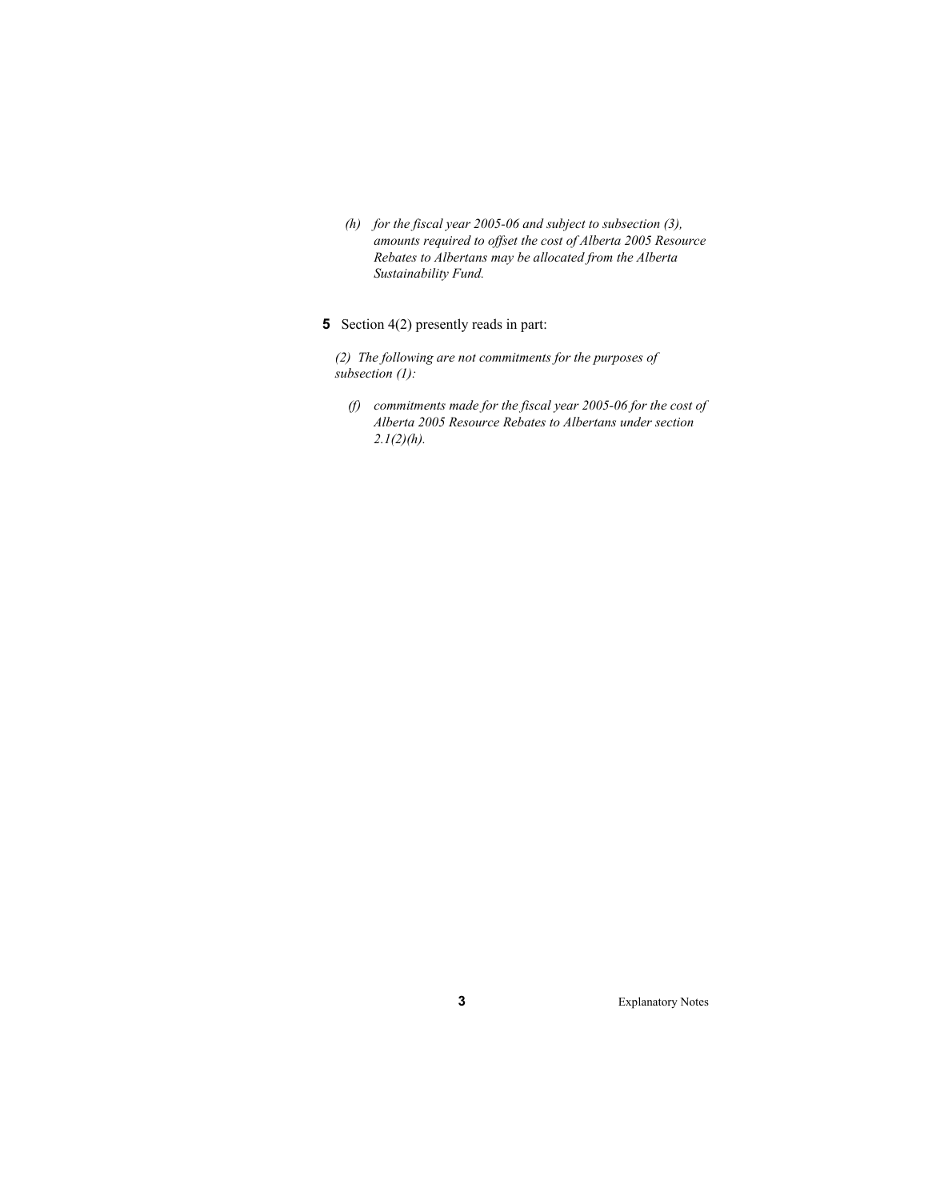- *(h) for the fiscal year 2005-06 and subject to subsection (3), amounts required to offset the cost of Alberta 2005 Resource Rebates to Albertans may be allocated from the Alberta Sustainability Fund.*
- **5** Section 4(2) presently reads in part:

*(2) The following are not commitments for the purposes of subsection (1):* 

 *(f) commitments made for the fiscal year 2005-06 for the cost of Alberta 2005 Resource Rebates to Albertans under section 2.1(2)(h).* 

**3** Explanatory Notes